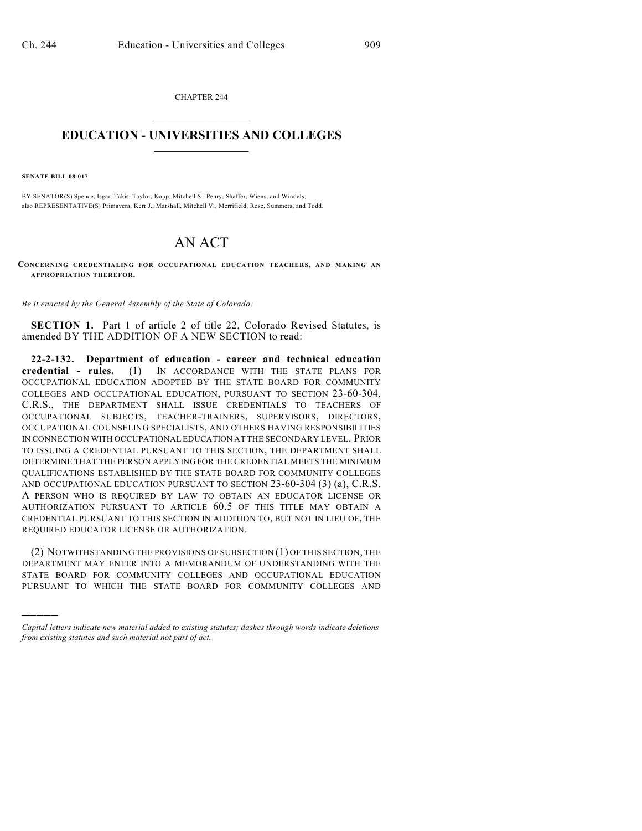CHAPTER 244  $\mathcal{L}_\text{max}$  . The set of the set of the set of the set of the set of the set of the set of the set of the set of the set of the set of the set of the set of the set of the set of the set of the set of the set of the set

## **EDUCATION - UNIVERSITIES AND COLLEGES**  $\frac{1}{2}$  ,  $\frac{1}{2}$  ,  $\frac{1}{2}$  ,  $\frac{1}{2}$  ,  $\frac{1}{2}$  ,  $\frac{1}{2}$  ,  $\frac{1}{2}$

**SENATE BILL 08-017**

)))))

BY SENATOR(S) Spence, Isgar, Takis, Taylor, Kopp, Mitchell S., Penry, Shaffer, Wiens, and Windels; also REPRESENTATIVE(S) Primavera, Kerr J., Marshall, Mitchell V., Merrifield, Rose, Summers, and Todd.

## AN ACT

**CONCERNING CREDENTIALING FOR OCCUPATIONAL EDUCATION TEACHERS, AND MAKING AN APPROPRIATION THEREFOR.**

*Be it enacted by the General Assembly of the State of Colorado:*

**SECTION 1.** Part 1 of article 2 of title 22, Colorado Revised Statutes, is amended BY THE ADDITION OF A NEW SECTION to read:

**22-2-132. Department of education - career and technical education credential - rules.** (1) IN ACCORDANCE WITH THE STATE PLANS FOR OCCUPATIONAL EDUCATION ADOPTED BY THE STATE BOARD FOR COMMUNITY COLLEGES AND OCCUPATIONAL EDUCATION, PURSUANT TO SECTION 23-60-304, C.R.S., THE DEPARTMENT SHALL ISSUE CREDENTIALS TO TEACHERS OF OCCUPATIONAL SUBJECTS, TEACHER-TRAINERS, SUPERVISORS, DIRECTORS, OCCUPATIONAL COUNSELING SPECIALISTS, AND OTHERS HAVING RESPONSIBILITIES IN CONNECTION WITH OCCUPATIONAL EDUCATION AT THE SECONDARY LEVEL. PRIOR TO ISSUING A CREDENTIAL PURSUANT TO THIS SECTION, THE DEPARTMENT SHALL DETERMINE THAT THE PERSON APPLYING FOR THE CREDENTIAL MEETS THE MINIMUM QUALIFICATIONS ESTABLISHED BY THE STATE BOARD FOR COMMUNITY COLLEGES AND OCCUPATIONAL EDUCATION PURSUANT TO SECTION 23-60-304 (3) (a), C.R.S. A PERSON WHO IS REQUIRED BY LAW TO OBTAIN AN EDUCATOR LICENSE OR AUTHORIZATION PURSUANT TO ARTICLE 60.5 OF THIS TITLE MAY OBTAIN A CREDENTIAL PURSUANT TO THIS SECTION IN ADDITION TO, BUT NOT IN LIEU OF, THE REQUIRED EDUCATOR LICENSE OR AUTHORIZATION.

(2) NOTWITHSTANDING THE PROVISIONS OF SUBSECTION (1) OF THIS SECTION, THE DEPARTMENT MAY ENTER INTO A MEMORANDUM OF UNDERSTANDING WITH THE STATE BOARD FOR COMMUNITY COLLEGES AND OCCUPATIONAL EDUCATION PURSUANT TO WHICH THE STATE BOARD FOR COMMUNITY COLLEGES AND

*Capital letters indicate new material added to existing statutes; dashes through words indicate deletions from existing statutes and such material not part of act.*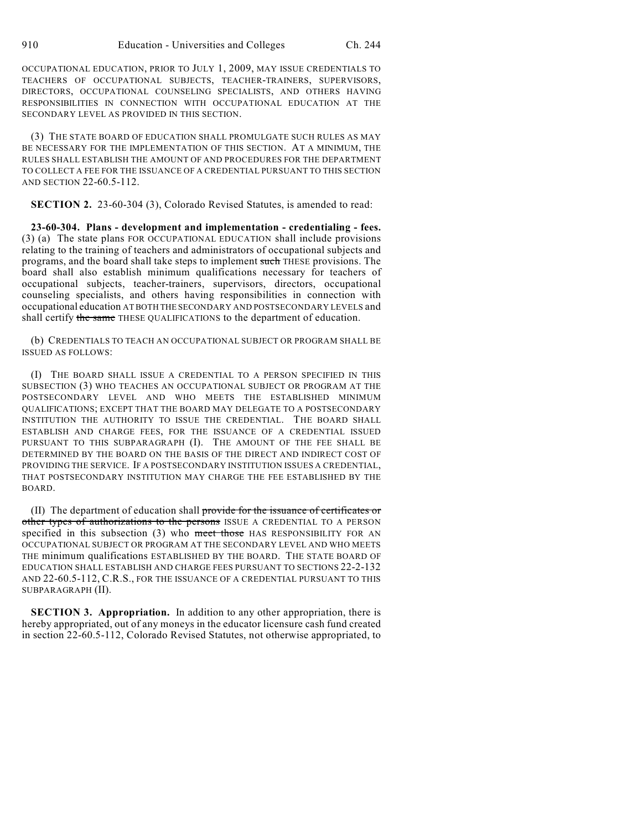OCCUPATIONAL EDUCATION, PRIOR TO JULY 1, 2009, MAY ISSUE CREDENTIALS TO TEACHERS OF OCCUPATIONAL SUBJECTS, TEACHER-TRAINERS, SUPERVISORS, DIRECTORS, OCCUPATIONAL COUNSELING SPECIALISTS, AND OTHERS HAVING RESPONSIBILITIES IN CONNECTION WITH OCCUPATIONAL EDUCATION AT THE SECONDARY LEVEL AS PROVIDED IN THIS SECTION.

(3) THE STATE BOARD OF EDUCATION SHALL PROMULGATE SUCH RULES AS MAY BE NECESSARY FOR THE IMPLEMENTATION OF THIS SECTION. AT A MINIMUM, THE RULES SHALL ESTABLISH THE AMOUNT OF AND PROCEDURES FOR THE DEPARTMENT TO COLLECT A FEE FOR THE ISSUANCE OF A CREDENTIAL PURSUANT TO THIS SECTION AND SECTION 22-60.5-112.

**SECTION 2.** 23-60-304 (3), Colorado Revised Statutes, is amended to read:

**23-60-304. Plans - development and implementation - credentialing - fees.** (3) (a) The state plans FOR OCCUPATIONAL EDUCATION shall include provisions relating to the training of teachers and administrators of occupational subjects and programs, and the board shall take steps to implement such THESE provisions. The board shall also establish minimum qualifications necessary for teachers of occupational subjects, teacher-trainers, supervisors, directors, occupational counseling specialists, and others having responsibilities in connection with occupational education AT BOTH THE SECONDARY AND POSTSECONDARY LEVELS and shall certify the same THESE QUALIFICATIONS to the department of education.

(b) CREDENTIALS TO TEACH AN OCCUPATIONAL SUBJECT OR PROGRAM SHALL BE ISSUED AS FOLLOWS:

(I) THE BOARD SHALL ISSUE A CREDENTIAL TO A PERSON SPECIFIED IN THIS SUBSECTION (3) WHO TEACHES AN OCCUPATIONAL SUBJECT OR PROGRAM AT THE POSTSECONDARY LEVEL AND WHO MEETS THE ESTABLISHED MINIMUM QUALIFICATIONS; EXCEPT THAT THE BOARD MAY DELEGATE TO A POSTSECONDARY INSTITUTION THE AUTHORITY TO ISSUE THE CREDENTIAL. THE BOARD SHALL ESTABLISH AND CHARGE FEES, FOR THE ISSUANCE OF A CREDENTIAL ISSUED PURSUANT TO THIS SUBPARAGRAPH (I). THE AMOUNT OF THE FEE SHALL BE DETERMINED BY THE BOARD ON THE BASIS OF THE DIRECT AND INDIRECT COST OF PROVIDING THE SERVICE. IF A POSTSECONDARY INSTITUTION ISSUES A CREDENTIAL, THAT POSTSECONDARY INSTITUTION MAY CHARGE THE FEE ESTABLISHED BY THE BOARD.

(II) The department of education shall provide for the issuance of certificates or other types of authorizations to the persons ISSUE A CREDENTIAL TO A PERSON specified in this subsection (3) who meet those HAS RESPONSIBILITY FOR AN OCCUPATIONAL SUBJECT OR PROGRAM AT THE SECONDARY LEVEL AND WHO MEETS THE minimum qualifications ESTABLISHED BY THE BOARD. THE STATE BOARD OF EDUCATION SHALL ESTABLISH AND CHARGE FEES PURSUANT TO SECTIONS 22-2-132 AND 22-60.5-112, C.R.S., FOR THE ISSUANCE OF A CREDENTIAL PURSUANT TO THIS SUBPARAGRAPH (II).

**SECTION 3. Appropriation.** In addition to any other appropriation, there is hereby appropriated, out of any moneys in the educator licensure cash fund created in section 22-60.5-112, Colorado Revised Statutes, not otherwise appropriated, to